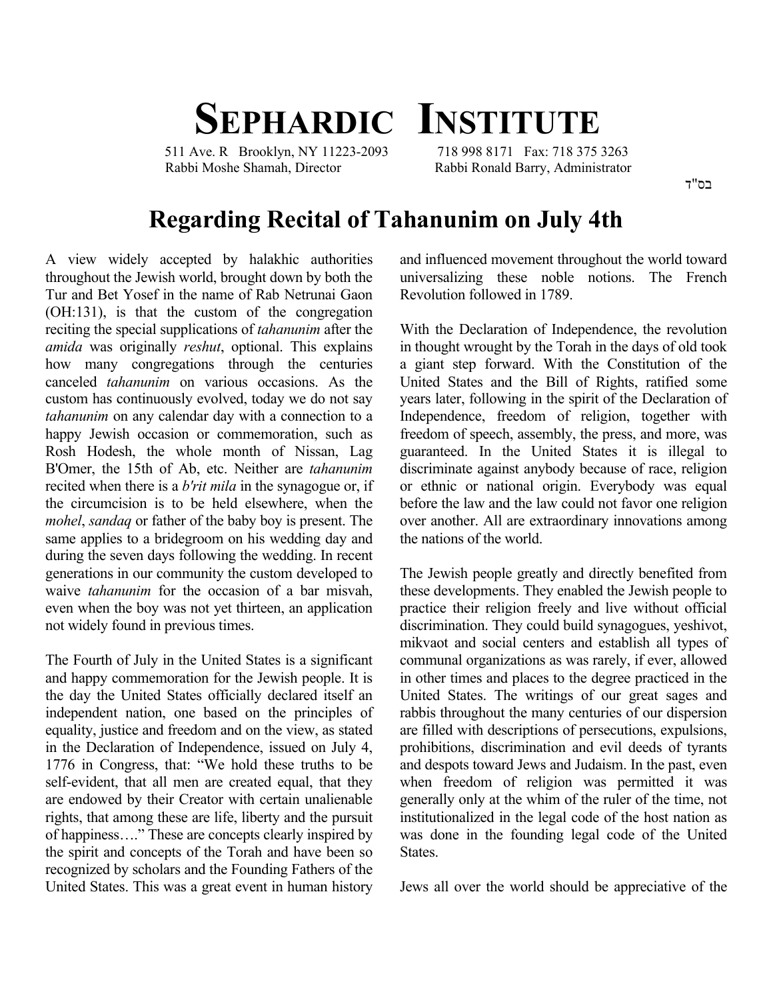## **SEPHARDIC INSTITUTE**

 511 Ave. R Brooklyn, NY 11223-2093 718 998 8171 Fax: 718 375 3263 Rabbi Moshe Shamah, Director Rabbi Ronald Barry, Administrator

בס"ד

## **Regarding Recital of Tahanunim on July 4th**

A view widely accepted by halakhic authorities throughout the Jewish world, brought down by both the Tur and Bet Yosef in the name of Rab Netrunai Gaon (OH:131), is that the custom of the congregation reciting the special supplications of *tahanunim* after the *amida* was originally *reshut*, optional. This explains how many congregations through the centuries canceled *tahanunim* on various occasions. As the custom has continuously evolved, today we do not say *tahanunim* on any calendar day with a connection to a happy Jewish occasion or commemoration, such as Rosh Hodesh, the whole month of Nissan, Lag B'Omer, the 15th of Ab, etc. Neither are *tahanunim* recited when there is a *b'rit mila* in the synagogue or, if the circumcision is to be held elsewhere, when the *mohel*, *sandaq* or father of the baby boy is present. The same applies to a bridegroom on his wedding day and during the seven days following the wedding. In recent generations in our community the custom developed to waive *tahanunim* for the occasion of a bar misvah, even when the boy was not yet thirteen, an application not widely found in previous times.

The Fourth of July in the United States is a significant and happy commemoration for the Jewish people. It is the day the United States officially declared itself an independent nation, one based on the principles of equality, justice and freedom and on the view, as stated in the Declaration of Independence, issued on July 4, 1776 in Congress, that: "We hold these truths to be self-evident, that all men are created equal, that they are endowed by their Creator with certain unalienable rights, that among these are life, liberty and the pursuit of happiness…." These are concepts clearly inspired by the spirit and concepts of the Torah and have been so recognized by scholars and the Founding Fathers of the United States. This was a great event in human history

and influenced movement throughout the world toward universalizing these noble notions. The French Revolution followed in 1789.

With the Declaration of Independence, the revolution in thought wrought by the Torah in the days of old took a giant step forward. With the Constitution of the United States and the Bill of Rights, ratified some years later, following in the spirit of the Declaration of Independence, freedom of religion, together with freedom of speech, assembly, the press, and more, was guaranteed. In the United States it is illegal to discriminate against anybody because of race, religion or ethnic or national origin. Everybody was equal before the law and the law could not favor one religion over another. All are extraordinary innovations among the nations of the world.

The Jewish people greatly and directly benefited from these developments. They enabled the Jewish people to practice their religion freely and live without official discrimination. They could build synagogues, yeshivot, mikvaot and social centers and establish all types of communal organizations as was rarely, if ever, allowed in other times and places to the degree practiced in the United States. The writings of our great sages and rabbis throughout the many centuries of our dispersion are filled with descriptions of persecutions, expulsions, prohibitions, discrimination and evil deeds of tyrants and despots toward Jews and Judaism. In the past, even when freedom of religion was permitted it was generally only at the whim of the ruler of the time, not institutionalized in the legal code of the host nation as was done in the founding legal code of the United States.

Jews all over the world should be appreciative of the